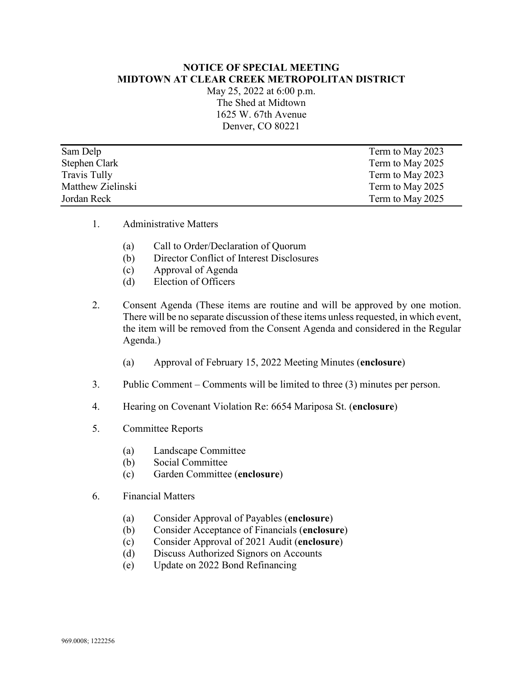## **NOTICE OF SPECIAL MEETING MIDTOWN AT CLEAR CREEK METROPOLITAN DISTRICT**

May 25, 2022 at 6:00 p.m. The Shed at Midtown 1625 W. 67th Avenue Denver, CO 80221

| Sam Delp          | Term to May 2023 |
|-------------------|------------------|
| Stephen Clark     | Term to May 2025 |
| Travis Tully      | Term to May 2023 |
| Matthew Zielinski | Term to May 2025 |
| Jordan Reck       | Term to May 2025 |

- 1. Administrative Matters
	- (a) Call to Order/Declaration of Quorum
	- (b) Director Conflict of Interest Disclosures
	- (c) Approval of Agenda
	- (d) Election of Officers
- 2. Consent Agenda (These items are routine and will be approved by one motion. There will be no separate discussion of these items unless requested, in which event, the item will be removed from the Consent Agenda and considered in the Regular Agenda.)
	- (a) Approval of February 15, 2022 Meeting Minutes (**enclosure**)
- 3. Public Comment Comments will be limited to three (3) minutes per person.
- 4. Hearing on Covenant Violation Re: 6654 Mariposa St. (**enclosure**)
- 5. Committee Reports
	- (a) Landscape Committee
	- (b) Social Committee
	- (c) Garden Committee (**enclosure**)
- 6. Financial Matters
	- (a) Consider Approval of Payables (**enclosure**)
	- (b) Consider Acceptance of Financials (**enclosure**)
	- (c) Consider Approval of 2021 Audit (**enclosure**)
	- (d) Discuss Authorized Signors on Accounts
	- (e) Update on 2022 Bond Refinancing